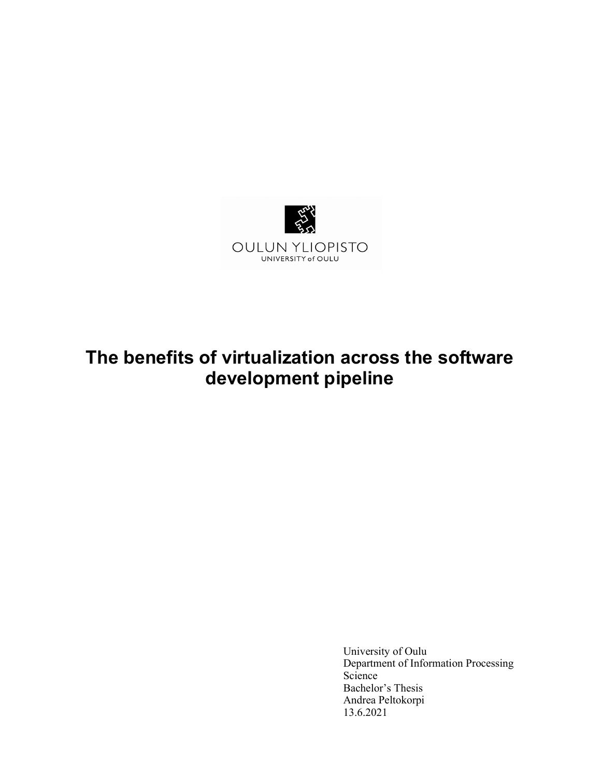

# The benefits of virtualization across the software development pipeline

University of Oulu Department of Information Processing Science Bachelor's Thesis Andrea Peltokorpi 13.6.2021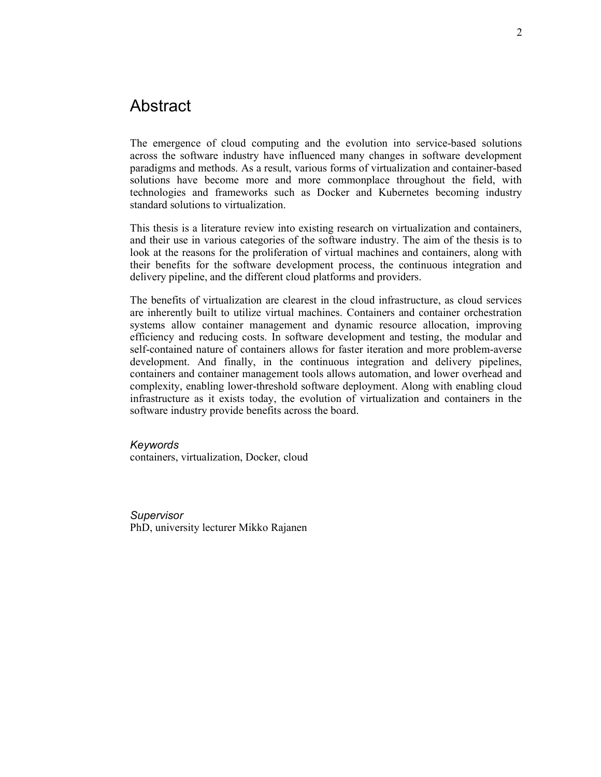## Abstract

The emergence of cloud computing and the evolution into service-based solutions across the software industry have influenced many changes in software development paradigms and methods. As a result, various forms of virtualization and container-based solutions have become more and more commonplace throughout the field, with technologies and frameworks such as Docker and Kubernetes becoming industry standard solutions to virtualization.

This thesis is a literature review into existing research on virtualization and containers, and their use in various categories of the software industry. The aim of the thesis is to look at the reasons for the proliferation of virtual machines and containers, along with their benefits for the software development process, the continuous integration and delivery pipeline, and the different cloud platforms and providers.

The benefits of virtualization are clearest in the cloud infrastructure, as cloud services are inherently built to utilize virtual machines. Containers and container orchestration systems allow container management and dynamic resource allocation, improving efficiency and reducing costs. In software development and testing, the modular and self-contained nature of containers allows for faster iteration and more problem-averse development. And finally, in the continuous integration and delivery pipelines, containers and container management tools allows automation, and lower overhead and complexity, enabling lower-threshold software deployment. Along with enabling cloud infrastructure as it exists today, the evolution of virtualization and containers in the software industry provide benefits across the board.

#### Keywords

containers, virtualization, Docker, cloud

Supervisor PhD, university lecturer Mikko Rajanen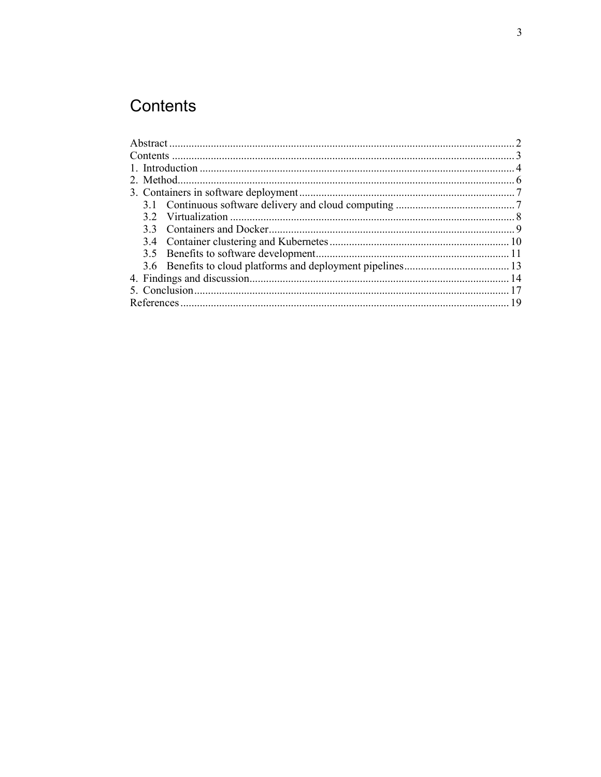## Contents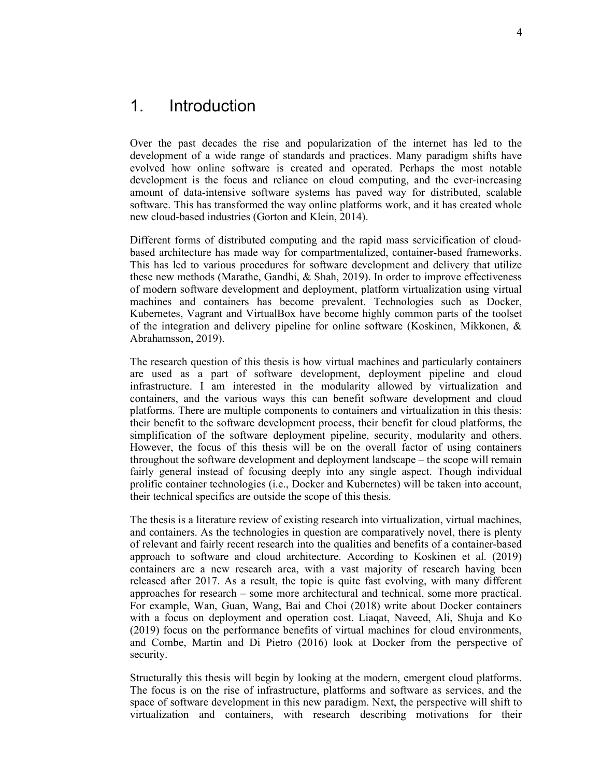### 1. Introduction

Over the past decades the rise and popularization of the internet has led to the development of a wide range of standards and practices. Many paradigm shifts have evolved how online software is created and operated. Perhaps the most notable development is the focus and reliance on cloud computing, and the ever-increasing amount of data-intensive software systems has paved way for distributed, scalable software. This has transformed the way online platforms work, and it has created whole new cloud-based industries (Gorton and Klein, 2014).

Different forms of distributed computing and the rapid mass servicification of cloudbased architecture has made way for compartmentalized, container-based frameworks. This has led to various procedures for software development and delivery that utilize these new methods (Marathe, Gandhi, & Shah, 2019). In order to improve effectiveness of modern software development and deployment, platform virtualization using virtual machines and containers has become prevalent. Technologies such as Docker, Kubernetes, Vagrant and VirtualBox have become highly common parts of the toolset of the integration and delivery pipeline for online software (Koskinen, Mikkonen, & Abrahamsson, 2019).

The research question of this thesis is how virtual machines and particularly containers are used as a part of software development, deployment pipeline and cloud infrastructure. I am interested in the modularity allowed by virtualization and containers, and the various ways this can benefit software development and cloud platforms. There are multiple components to containers and virtualization in this thesis: their benefit to the software development process, their benefit for cloud platforms, the simplification of the software deployment pipeline, security, modularity and others. However, the focus of this thesis will be on the overall factor of using containers throughout the software development and deployment landscape – the scope will remain fairly general instead of focusing deeply into any single aspect. Though individual prolific container technologies (i.e., Docker and Kubernetes) will be taken into account, their technical specifics are outside the scope of this thesis.

The thesis is a literature review of existing research into virtualization, virtual machines, and containers. As the technologies in question are comparatively novel, there is plenty of relevant and fairly recent research into the qualities and benefits of a container-based approach to software and cloud architecture. According to Koskinen et al. (2019) containers are a new research area, with a vast majority of research having been released after 2017. As a result, the topic is quite fast evolving, with many different approaches for research – some more architectural and technical, some more practical. For example, Wan, Guan, Wang, Bai and Choi (2018) write about Docker containers with a focus on deployment and operation cost. Liaqat, Naveed, Ali, Shuja and Ko (2019) focus on the performance benefits of virtual machines for cloud environments, and Combe, Martin and Di Pietro (2016) look at Docker from the perspective of security.

Structurally this thesis will begin by looking at the modern, emergent cloud platforms. The focus is on the rise of infrastructure, platforms and software as services, and the space of software development in this new paradigm. Next, the perspective will shift to virtualization and containers, with research describing motivations for their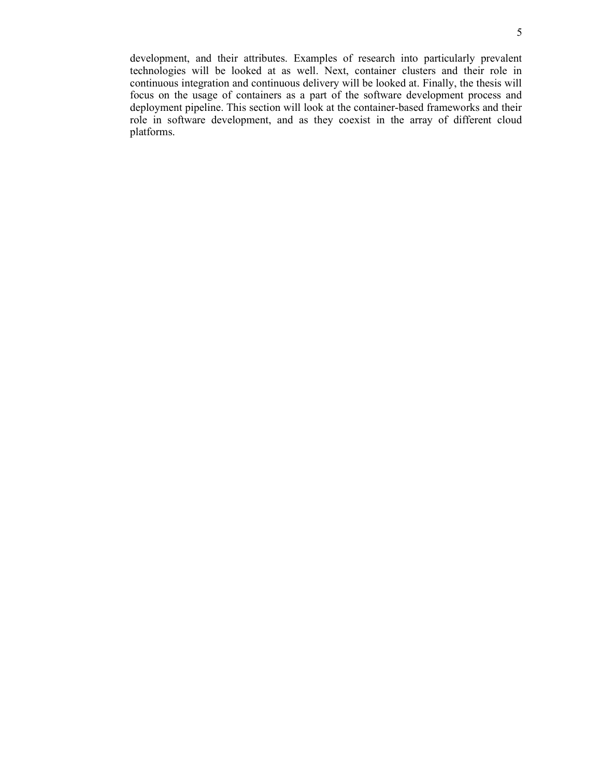development, and their attributes. Examples of research into particularly prevalent technologies will be looked at as well. Next, container clusters and their role in continuous integration and continuous delivery will be looked at. Finally, the thesis will focus on the usage of containers as a part of the software development process and deployment pipeline. This section will look at the container-based frameworks and their role in software development, and as they coexist in the array of different cloud platforms.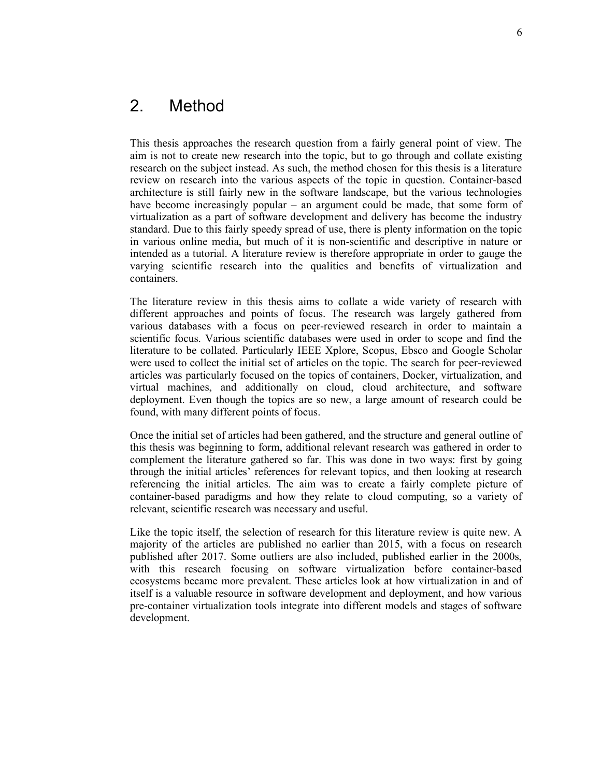## 2. Method

This thesis approaches the research question from a fairly general point of view. The aim is not to create new research into the topic, but to go through and collate existing research on the subject instead. As such, the method chosen for this thesis is a literature review on research into the various aspects of the topic in question. Container-based architecture is still fairly new in the software landscape, but the various technologies have become increasingly popular – an argument could be made, that some form of virtualization as a part of software development and delivery has become the industry standard. Due to this fairly speedy spread of use, there is plenty information on the topic in various online media, but much of it is non-scientific and descriptive in nature or intended as a tutorial. A literature review is therefore appropriate in order to gauge the varying scientific research into the qualities and benefits of virtualization and containers.

The literature review in this thesis aims to collate a wide variety of research with different approaches and points of focus. The research was largely gathered from various databases with a focus on peer-reviewed research in order to maintain a scientific focus. Various scientific databases were used in order to scope and find the literature to be collated. Particularly IEEE Xplore, Scopus, Ebsco and Google Scholar were used to collect the initial set of articles on the topic. The search for peer-reviewed articles was particularly focused on the topics of containers, Docker, virtualization, and virtual machines, and additionally on cloud, cloud architecture, and software deployment. Even though the topics are so new, a large amount of research could be found, with many different points of focus.

Once the initial set of articles had been gathered, and the structure and general outline of this thesis was beginning to form, additional relevant research was gathered in order to complement the literature gathered so far. This was done in two ways: first by going through the initial articles' references for relevant topics, and then looking at research referencing the initial articles. The aim was to create a fairly complete picture of container-based paradigms and how they relate to cloud computing, so a variety of relevant, scientific research was necessary and useful.

Like the topic itself, the selection of research for this literature review is quite new. A majority of the articles are published no earlier than 2015, with a focus on research published after 2017. Some outliers are also included, published earlier in the 2000s, with this research focusing on software virtualization before container-based ecosystems became more prevalent. These articles look at how virtualization in and of itself is a valuable resource in software development and deployment, and how various pre-container virtualization tools integrate into different models and stages of software development.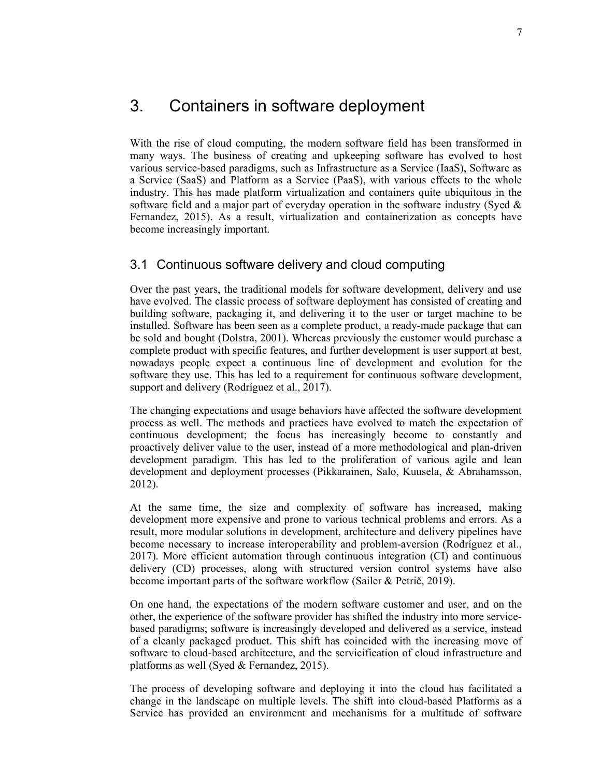## 3. Containers in software deployment

With the rise of cloud computing, the modern software field has been transformed in many ways. The business of creating and upkeeping software has evolved to host various service-based paradigms, such as Infrastructure as a Service (IaaS), Software as a Service (SaaS) and Platform as a Service (PaaS), with various effects to the whole industry. This has made platform virtualization and containers quite ubiquitous in the software field and a major part of everyday operation in the software industry (Syed  $\&$ Fernandez, 2015). As a result, virtualization and containerization as concepts have become increasingly important.

#### 3.1 Continuous software delivery and cloud computing

Over the past years, the traditional models for software development, delivery and use have evolved. The classic process of software deployment has consisted of creating and building software, packaging it, and delivering it to the user or target machine to be installed. Software has been seen as a complete product, a ready-made package that can be sold and bought (Dolstra, 2001). Whereas previously the customer would purchase a complete product with specific features, and further development is user support at best, nowadays people expect a continuous line of development and evolution for the software they use. This has led to a requirement for continuous software development, support and delivery (Rodríguez et al., 2017).

The changing expectations and usage behaviors have affected the software development process as well. The methods and practices have evolved to match the expectation of continuous development; the focus has increasingly become to constantly and proactively deliver value to the user, instead of a more methodological and plan-driven development paradigm. This has led to the proliferation of various agile and lean development and deployment processes (Pikkarainen, Salo, Kuusela, & Abrahamsson, 2012).

At the same time, the size and complexity of software has increased, making development more expensive and prone to various technical problems and errors. As a result, more modular solutions in development, architecture and delivery pipelines have become necessary to increase interoperability and problem-aversion (Rodríguez et al., 2017). More efficient automation through continuous integration (CI) and continuous delivery (CD) processes, along with structured version control systems have also become important parts of the software workflow (Sailer & Petrič, 2019).

On one hand, the expectations of the modern software customer and user, and on the other, the experience of the software provider has shifted the industry into more servicebased paradigms; software is increasingly developed and delivered as a service, instead of a cleanly packaged product. This shift has coincided with the increasing move of software to cloud-based architecture, and the servicification of cloud infrastructure and platforms as well (Syed & Fernandez, 2015).

The process of developing software and deploying it into the cloud has facilitated a change in the landscape on multiple levels. The shift into cloud-based Platforms as a Service has provided an environment and mechanisms for a multitude of software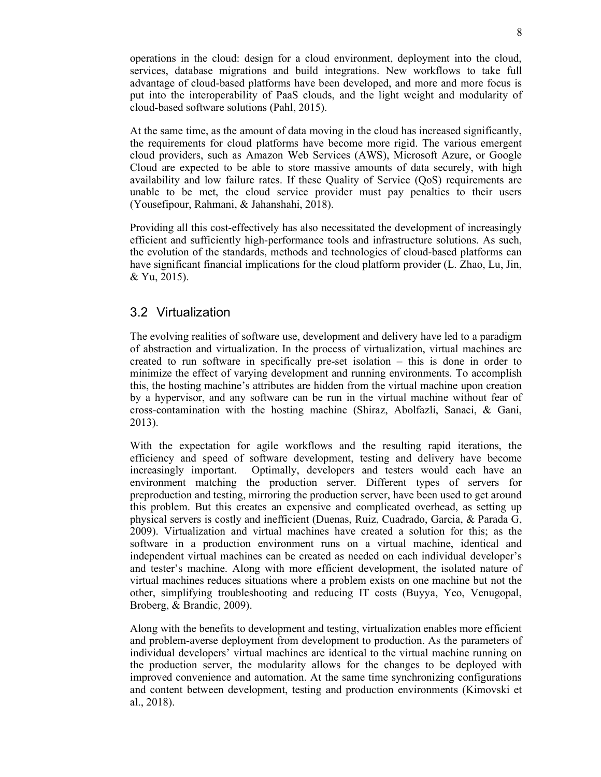operations in the cloud: design for a cloud environment, deployment into the cloud, services, database migrations and build integrations. New workflows to take full advantage of cloud-based platforms have been developed, and more and more focus is put into the interoperability of PaaS clouds, and the light weight and modularity of cloud-based software solutions (Pahl, 2015).

At the same time, as the amount of data moving in the cloud has increased significantly, the requirements for cloud platforms have become more rigid. The various emergent cloud providers, such as Amazon Web Services (AWS), Microsoft Azure, or Google Cloud are expected to be able to store massive amounts of data securely, with high availability and low failure rates. If these Quality of Service (QoS) requirements are unable to be met, the cloud service provider must pay penalties to their users (Yousefipour, Rahmani, & Jahanshahi, 2018).

Providing all this cost-effectively has also necessitated the development of increasingly efficient and sufficiently high-performance tools and infrastructure solutions. As such, the evolution of the standards, methods and technologies of cloud-based platforms can have significant financial implications for the cloud platform provider (L. Zhao, Lu, Jin, & Yu, 2015).

#### 3.2 Virtualization

The evolving realities of software use, development and delivery have led to a paradigm of abstraction and virtualization. In the process of virtualization, virtual machines are created to run software in specifically pre-set isolation – this is done in order to minimize the effect of varying development and running environments. To accomplish this, the hosting machine's attributes are hidden from the virtual machine upon creation by a hypervisor, and any software can be run in the virtual machine without fear of cross-contamination with the hosting machine (Shiraz, Abolfazli, Sanaei, & Gani, 2013).

With the expectation for agile workflows and the resulting rapid iterations, the efficiency and speed of software development, testing and delivery have become increasingly important. Optimally, developers and testers would each have an environment matching the production server. Different types of servers for preproduction and testing, mirroring the production server, have been used to get around this problem. But this creates an expensive and complicated overhead, as setting up physical servers is costly and inefficient (Duenas, Ruiz, Cuadrado, Garcia, & Parada G, 2009). Virtualization and virtual machines have created a solution for this; as the software in a production environment runs on a virtual machine, identical and independent virtual machines can be created as needed on each individual developer's and tester's machine. Along with more efficient development, the isolated nature of virtual machines reduces situations where a problem exists on one machine but not the other, simplifying troubleshooting and reducing IT costs (Buyya, Yeo, Venugopal, Broberg, & Brandic, 2009).

Along with the benefits to development and testing, virtualization enables more efficient and problem-averse deployment from development to production. As the parameters of individual developers' virtual machines are identical to the virtual machine running on the production server, the modularity allows for the changes to be deployed with improved convenience and automation. At the same time synchronizing configurations and content between development, testing and production environments (Kimovski et al., 2018).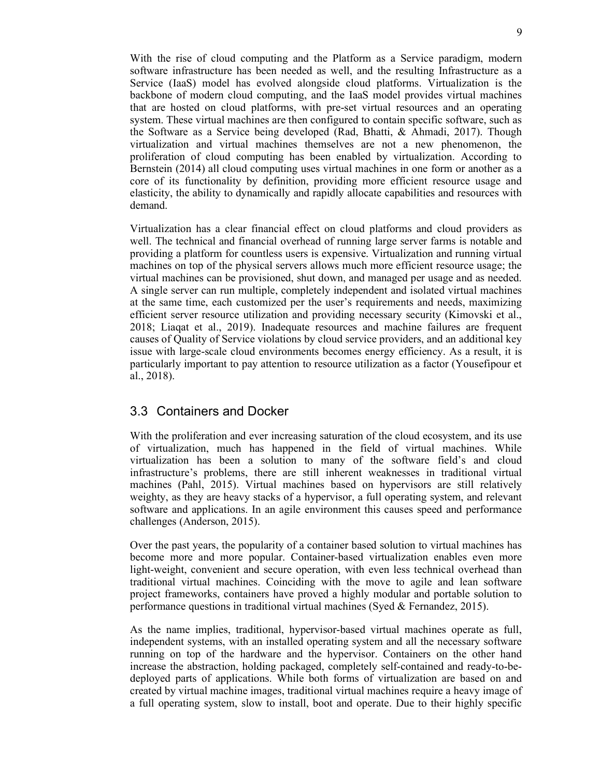With the rise of cloud computing and the Platform as a Service paradigm, modern software infrastructure has been needed as well, and the resulting Infrastructure as a Service (IaaS) model has evolved alongside cloud platforms. Virtualization is the backbone of modern cloud computing, and the IaaS model provides virtual machines that are hosted on cloud platforms, with pre-set virtual resources and an operating system. These virtual machines are then configured to contain specific software, such as the Software as a Service being developed (Rad, Bhatti, & Ahmadi, 2017). Though virtualization and virtual machines themselves are not a new phenomenon, the proliferation of cloud computing has been enabled by virtualization. According to Bernstein (2014) all cloud computing uses virtual machines in one form or another as a core of its functionality by definition, providing more efficient resource usage and elasticity, the ability to dynamically and rapidly allocate capabilities and resources with demand.

Virtualization has a clear financial effect on cloud platforms and cloud providers as well. The technical and financial overhead of running large server farms is notable and providing a platform for countless users is expensive. Virtualization and running virtual machines on top of the physical servers allows much more efficient resource usage; the virtual machines can be provisioned, shut down, and managed per usage and as needed. A single server can run multiple, completely independent and isolated virtual machines at the same time, each customized per the user's requirements and needs, maximizing efficient server resource utilization and providing necessary security (Kimovski et al., 2018; Liaqat et al., 2019). Inadequate resources and machine failures are frequent causes of Quality of Service violations by cloud service providers, and an additional key issue with large-scale cloud environments becomes energy efficiency. As a result, it is particularly important to pay attention to resource utilization as a factor (Yousefipour et al., 2018).

### 3.3 Containers and Docker

With the proliferation and ever increasing saturation of the cloud ecosystem, and its use of virtualization, much has happened in the field of virtual machines. While virtualization has been a solution to many of the software field's and cloud infrastructure's problems, there are still inherent weaknesses in traditional virtual machines (Pahl, 2015). Virtual machines based on hypervisors are still relatively weighty, as they are heavy stacks of a hypervisor, a full operating system, and relevant software and applications. In an agile environment this causes speed and performance challenges (Anderson, 2015).

Over the past years, the popularity of a container based solution to virtual machines has become more and more popular. Container-based virtualization enables even more light-weight, convenient and secure operation, with even less technical overhead than traditional virtual machines. Coinciding with the move to agile and lean software project frameworks, containers have proved a highly modular and portable solution to performance questions in traditional virtual machines (Syed & Fernandez, 2015).

As the name implies, traditional, hypervisor-based virtual machines operate as full, independent systems, with an installed operating system and all the necessary software running on top of the hardware and the hypervisor. Containers on the other hand increase the abstraction, holding packaged, completely self-contained and ready-to-bedeployed parts of applications. While both forms of virtualization are based on and created by virtual machine images, traditional virtual machines require a heavy image of a full operating system, slow to install, boot and operate. Due to their highly specific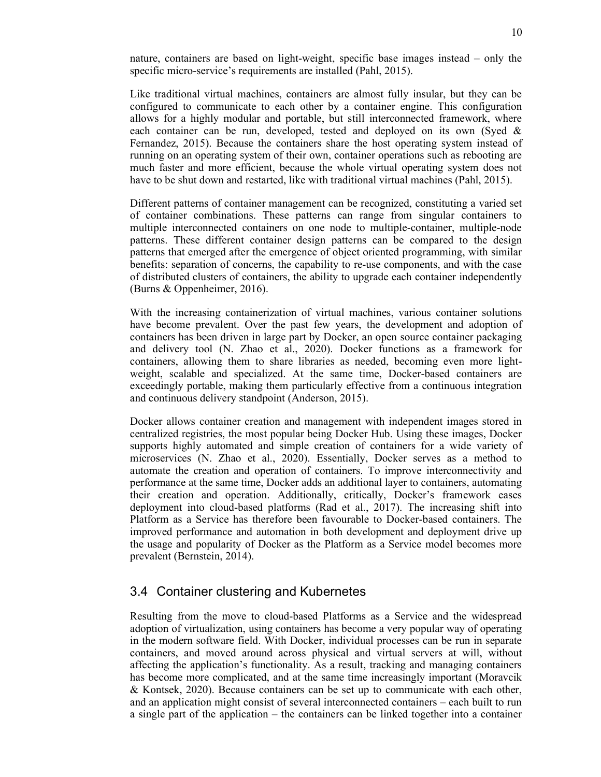nature, containers are based on light-weight, specific base images instead – only the specific micro-service's requirements are installed (Pahl, 2015).

Like traditional virtual machines, containers are almost fully insular, but they can be configured to communicate to each other by a container engine. This configuration allows for a highly modular and portable, but still interconnected framework, where each container can be run, developed, tested and deployed on its own (Syed & Fernandez, 2015). Because the containers share the host operating system instead of running on an operating system of their own, container operations such as rebooting are much faster and more efficient, because the whole virtual operating system does not have to be shut down and restarted, like with traditional virtual machines (Pahl, 2015).

Different patterns of container management can be recognized, constituting a varied set of container combinations. These patterns can range from singular containers to multiple interconnected containers on one node to multiple-container, multiple-node patterns. These different container design patterns can be compared to the design patterns that emerged after the emergence of object oriented programming, with similar benefits: separation of concerns, the capability to re-use components, and with the case of distributed clusters of containers, the ability to upgrade each container independently (Burns & Oppenheimer, 2016).

With the increasing containerization of virtual machines, various container solutions have become prevalent. Over the past few years, the development and adoption of containers has been driven in large part by Docker, an open source container packaging and delivery tool (N. Zhao et al., 2020). Docker functions as a framework for containers, allowing them to share libraries as needed, becoming even more lightweight, scalable and specialized. At the same time, Docker-based containers are exceedingly portable, making them particularly effective from a continuous integration and continuous delivery standpoint (Anderson, 2015).

Docker allows container creation and management with independent images stored in centralized registries, the most popular being Docker Hub. Using these images, Docker supports highly automated and simple creation of containers for a wide variety of microservices (N. Zhao et al., 2020). Essentially, Docker serves as a method to automate the creation and operation of containers. To improve interconnectivity and performance at the same time, Docker adds an additional layer to containers, automating their creation and operation. Additionally, critically, Docker's framework eases deployment into cloud-based platforms (Rad et al., 2017). The increasing shift into Platform as a Service has therefore been favourable to Docker-based containers. The improved performance and automation in both development and deployment drive up the usage and popularity of Docker as the Platform as a Service model becomes more prevalent (Bernstein, 2014).

#### 3.4 Container clustering and Kubernetes

Resulting from the move to cloud-based Platforms as a Service and the widespread adoption of virtualization, using containers has become a very popular way of operating in the modern software field. With Docker, individual processes can be run in separate containers, and moved around across physical and virtual servers at will, without affecting the application's functionality. As a result, tracking and managing containers has become more complicated, and at the same time increasingly important (Moravcik & Kontsek, 2020). Because containers can be set up to communicate with each other, and an application might consist of several interconnected containers – each built to run a single part of the application – the containers can be linked together into a container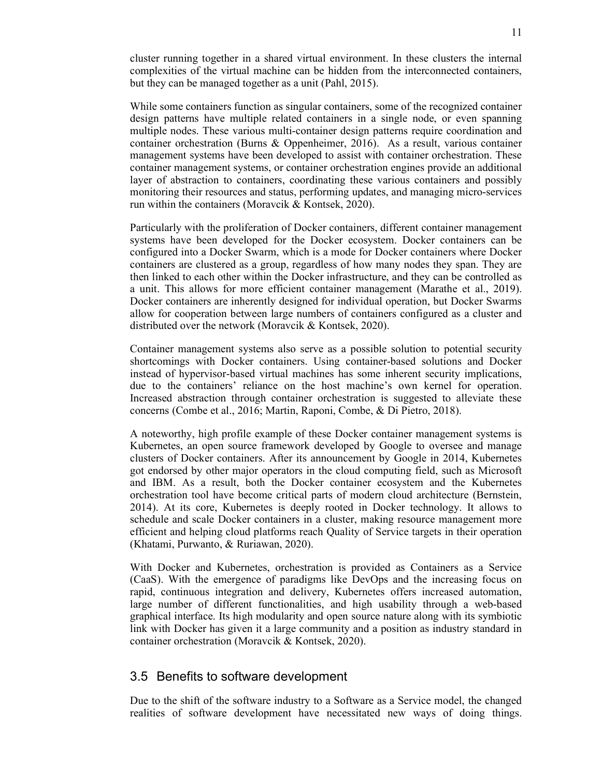cluster running together in a shared virtual environment. In these clusters the internal complexities of the virtual machine can be hidden from the interconnected containers, but they can be managed together as a unit (Pahl, 2015).

While some containers function as singular containers, some of the recognized container design patterns have multiple related containers in a single node, or even spanning multiple nodes. These various multi-container design patterns require coordination and container orchestration (Burns & Oppenheimer, 2016). As a result, various container management systems have been developed to assist with container orchestration. These container management systems, or container orchestration engines provide an additional layer of abstraction to containers, coordinating these various containers and possibly monitoring their resources and status, performing updates, and managing micro-services run within the containers (Moravcik & Kontsek, 2020).

Particularly with the proliferation of Docker containers, different container management systems have been developed for the Docker ecosystem. Docker containers can be configured into a Docker Swarm, which is a mode for Docker containers where Docker containers are clustered as a group, regardless of how many nodes they span. They are then linked to each other within the Docker infrastructure, and they can be controlled as a unit. This allows for more efficient container management (Marathe et al., 2019). Docker containers are inherently designed for individual operation, but Docker Swarms allow for cooperation between large numbers of containers configured as a cluster and distributed over the network (Moravcik & Kontsek, 2020).

Container management systems also serve as a possible solution to potential security shortcomings with Docker containers. Using container-based solutions and Docker instead of hypervisor-based virtual machines has some inherent security implications, due to the containers' reliance on the host machine's own kernel for operation. Increased abstraction through container orchestration is suggested to alleviate these concerns (Combe et al., 2016; Martin, Raponi, Combe, & Di Pietro, 2018).

A noteworthy, high profile example of these Docker container management systems is Kubernetes, an open source framework developed by Google to oversee and manage clusters of Docker containers. After its announcement by Google in 2014, Kubernetes got endorsed by other major operators in the cloud computing field, such as Microsoft and IBM. As a result, both the Docker container ecosystem and the Kubernetes orchestration tool have become critical parts of modern cloud architecture (Bernstein, 2014). At its core, Kubernetes is deeply rooted in Docker technology. It allows to schedule and scale Docker containers in a cluster, making resource management more efficient and helping cloud platforms reach Quality of Service targets in their operation (Khatami, Purwanto, & Ruriawan, 2020).

With Docker and Kubernetes, orchestration is provided as Containers as a Service (CaaS). With the emergence of paradigms like DevOps and the increasing focus on rapid, continuous integration and delivery, Kubernetes offers increased automation, large number of different functionalities, and high usability through a web-based graphical interface. Its high modularity and open source nature along with its symbiotic link with Docker has given it a large community and a position as industry standard in container orchestration (Moravcik & Kontsek, 2020).

#### 3.5 Benefits to software development

Due to the shift of the software industry to a Software as a Service model, the changed realities of software development have necessitated new ways of doing things.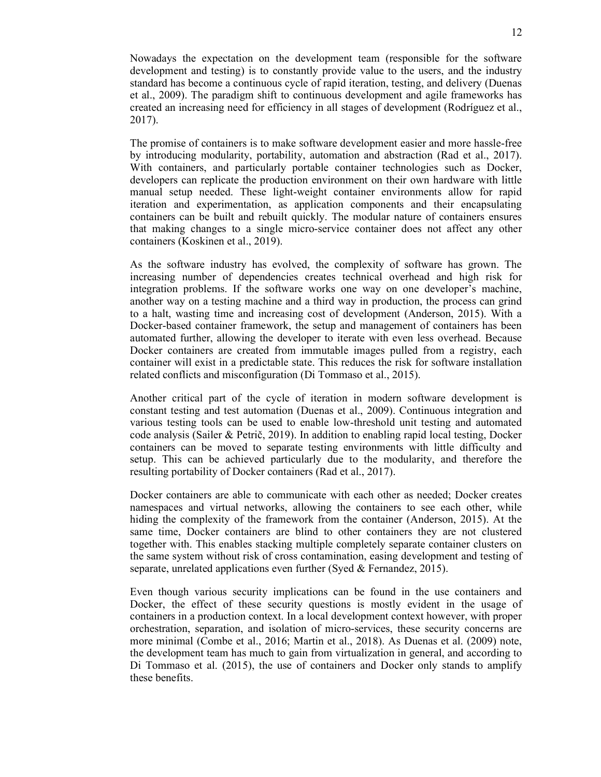Nowadays the expectation on the development team (responsible for the software development and testing) is to constantly provide value to the users, and the industry standard has become a continuous cycle of rapid iteration, testing, and delivery (Duenas et al., 2009). The paradigm shift to continuous development and agile frameworks has created an increasing need for efficiency in all stages of development (Rodríguez et al., 2017).

The promise of containers is to make software development easier and more hassle-free by introducing modularity, portability, automation and abstraction (Rad et al., 2017). With containers, and particularly portable container technologies such as Docker, developers can replicate the production environment on their own hardware with little manual setup needed. These light-weight container environments allow for rapid iteration and experimentation, as application components and their encapsulating containers can be built and rebuilt quickly. The modular nature of containers ensures that making changes to a single micro-service container does not affect any other containers (Koskinen et al., 2019).

As the software industry has evolved, the complexity of software has grown. The increasing number of dependencies creates technical overhead and high risk for integration problems. If the software works one way on one developer's machine, another way on a testing machine and a third way in production, the process can grind to a halt, wasting time and increasing cost of development (Anderson, 2015). With a Docker-based container framework, the setup and management of containers has been automated further, allowing the developer to iterate with even less overhead. Because Docker containers are created from immutable images pulled from a registry, each container will exist in a predictable state. This reduces the risk for software installation related conflicts and misconfiguration (Di Tommaso et al., 2015).

Another critical part of the cycle of iteration in modern software development is constant testing and test automation (Duenas et al., 2009). Continuous integration and various testing tools can be used to enable low-threshold unit testing and automated code analysis (Sailer & Petrič, 2019). In addition to enabling rapid local testing, Docker containers can be moved to separate testing environments with little difficulty and setup. This can be achieved particularly due to the modularity, and therefore the resulting portability of Docker containers (Rad et al., 2017).

Docker containers are able to communicate with each other as needed; Docker creates namespaces and virtual networks, allowing the containers to see each other, while hiding the complexity of the framework from the container (Anderson, 2015). At the same time, Docker containers are blind to other containers they are not clustered together with. This enables stacking multiple completely separate container clusters on the same system without risk of cross contamination, easing development and testing of separate, unrelated applications even further (Syed & Fernandez, 2015).

Even though various security implications can be found in the use containers and Docker, the effect of these security questions is mostly evident in the usage of containers in a production context. In a local development context however, with proper orchestration, separation, and isolation of micro-services, these security concerns are more minimal (Combe et al., 2016; Martin et al., 2018). As Duenas et al. (2009) note, the development team has much to gain from virtualization in general, and according to Di Tommaso et al. (2015), the use of containers and Docker only stands to amplify these benefits.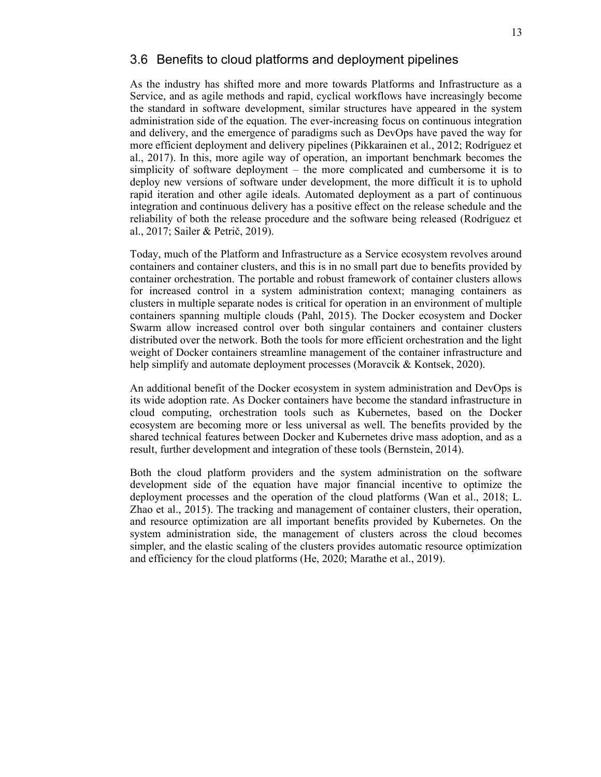#### 3.6 Benefits to cloud platforms and deployment pipelines

As the industry has shifted more and more towards Platforms and Infrastructure as a Service, and as agile methods and rapid, cyclical workflows have increasingly become the standard in software development, similar structures have appeared in the system administration side of the equation. The ever-increasing focus on continuous integration and delivery, and the emergence of paradigms such as DevOps have paved the way for more efficient deployment and delivery pipelines (Pikkarainen et al., 2012; Rodríguez et al., 2017). In this, more agile way of operation, an important benchmark becomes the simplicity of software deployment – the more complicated and cumbersome it is to deploy new versions of software under development, the more difficult it is to uphold rapid iteration and other agile ideals. Automated deployment as a part of continuous integration and continuous delivery has a positive effect on the release schedule and the reliability of both the release procedure and the software being released (Rodríguez et al., 2017; Sailer & Petrič, 2019).

Today, much of the Platform and Infrastructure as a Service ecosystem revolves around containers and container clusters, and this is in no small part due to benefits provided by container orchestration. The portable and robust framework of container clusters allows for increased control in a system administration context; managing containers as clusters in multiple separate nodes is critical for operation in an environment of multiple containers spanning multiple clouds (Pahl, 2015). The Docker ecosystem and Docker Swarm allow increased control over both singular containers and container clusters distributed over the network. Both the tools for more efficient orchestration and the light weight of Docker containers streamline management of the container infrastructure and help simplify and automate deployment processes (Moravcik & Kontsek, 2020).

An additional benefit of the Docker ecosystem in system administration and DevOps is its wide adoption rate. As Docker containers have become the standard infrastructure in cloud computing, orchestration tools such as Kubernetes, based on the Docker ecosystem are becoming more or less universal as well. The benefits provided by the shared technical features between Docker and Kubernetes drive mass adoption, and as a result, further development and integration of these tools (Bernstein, 2014).

Both the cloud platform providers and the system administration on the software development side of the equation have major financial incentive to optimize the deployment processes and the operation of the cloud platforms (Wan et al., 2018; L. Zhao et al., 2015). The tracking and management of container clusters, their operation, and resource optimization are all important benefits provided by Kubernetes. On the system administration side, the management of clusters across the cloud becomes simpler, and the elastic scaling of the clusters provides automatic resource optimization and efficiency for the cloud platforms (He, 2020; Marathe et al., 2019).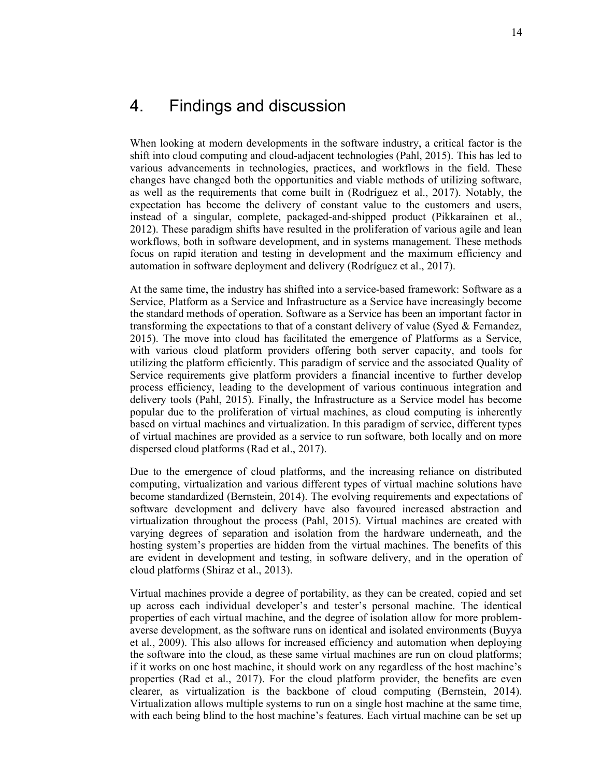When looking at modern developments in the software industry, a critical factor is the shift into cloud computing and cloud-adjacent technologies (Pahl, 2015). This has led to various advancements in technologies, practices, and workflows in the field. These changes have changed both the opportunities and viable methods of utilizing software, as well as the requirements that come built in (Rodríguez et al., 2017). Notably, the expectation has become the delivery of constant value to the customers and users, instead of a singular, complete, packaged-and-shipped product (Pikkarainen et al., 2012). These paradigm shifts have resulted in the proliferation of various agile and lean workflows, both in software development, and in systems management. These methods focus on rapid iteration and testing in development and the maximum efficiency and automation in software deployment and delivery (Rodríguez et al., 2017).

At the same time, the industry has shifted into a service-based framework: Software as a Service, Platform as a Service and Infrastructure as a Service have increasingly become the standard methods of operation. Software as a Service has been an important factor in transforming the expectations to that of a constant delivery of value (Syed & Fernandez, 2015). The move into cloud has facilitated the emergence of Platforms as a Service, with various cloud platform providers offering both server capacity, and tools for utilizing the platform efficiently. This paradigm of service and the associated Quality of Service requirements give platform providers a financial incentive to further develop process efficiency, leading to the development of various continuous integration and delivery tools (Pahl, 2015). Finally, the Infrastructure as a Service model has become popular due to the proliferation of virtual machines, as cloud computing is inherently based on virtual machines and virtualization. In this paradigm of service, different types of virtual machines are provided as a service to run software, both locally and on more dispersed cloud platforms (Rad et al., 2017).

Due to the emergence of cloud platforms, and the increasing reliance on distributed computing, virtualization and various different types of virtual machine solutions have become standardized (Bernstein, 2014). The evolving requirements and expectations of software development and delivery have also favoured increased abstraction and virtualization throughout the process (Pahl, 2015). Virtual machines are created with varying degrees of separation and isolation from the hardware underneath, and the hosting system's properties are hidden from the virtual machines. The benefits of this are evident in development and testing, in software delivery, and in the operation of cloud platforms (Shiraz et al., 2013).

Virtual machines provide a degree of portability, as they can be created, copied and set up across each individual developer's and tester's personal machine. The identical properties of each virtual machine, and the degree of isolation allow for more problemaverse development, as the software runs on identical and isolated environments (Buyya et al., 2009). This also allows for increased efficiency and automation when deploying the software into the cloud, as these same virtual machines are run on cloud platforms; if it works on one host machine, it should work on any regardless of the host machine's properties (Rad et al., 2017). For the cloud platform provider, the benefits are even clearer, as virtualization is the backbone of cloud computing (Bernstein, 2014). Virtualization allows multiple systems to run on a single host machine at the same time, with each being blind to the host machine's features. Each virtual machine can be set up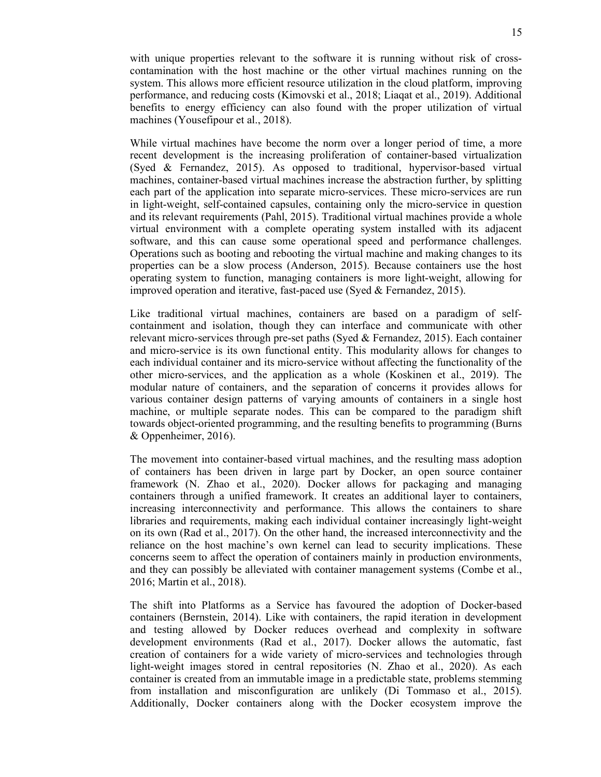with unique properties relevant to the software it is running without risk of crosscontamination with the host machine or the other virtual machines running on the system. This allows more efficient resource utilization in the cloud platform, improving performance, and reducing costs (Kimovski et al., 2018; Liaqat et al., 2019). Additional benefits to energy efficiency can also found with the proper utilization of virtual machines (Yousefipour et al., 2018).

While virtual machines have become the norm over a longer period of time, a more recent development is the increasing proliferation of container-based virtualization (Syed & Fernandez, 2015). As opposed to traditional, hypervisor-based virtual machines, container-based virtual machines increase the abstraction further, by splitting each part of the application into separate micro-services. These micro-services are run in light-weight, self-contained capsules, containing only the micro-service in question and its relevant requirements (Pahl, 2015). Traditional virtual machines provide a whole virtual environment with a complete operating system installed with its adjacent software, and this can cause some operational speed and performance challenges. Operations such as booting and rebooting the virtual machine and making changes to its properties can be a slow process (Anderson, 2015). Because containers use the host operating system to function, managing containers is more light-weight, allowing for improved operation and iterative, fast-paced use (Syed & Fernandez, 2015).

Like traditional virtual machines, containers are based on a paradigm of selfcontainment and isolation, though they can interface and communicate with other relevant micro-services through pre-set paths (Syed & Fernandez, 2015). Each container and micro-service is its own functional entity. This modularity allows for changes to each individual container and its micro-service without affecting the functionality of the other micro-services, and the application as a whole (Koskinen et al., 2019). The modular nature of containers, and the separation of concerns it provides allows for various container design patterns of varying amounts of containers in a single host machine, or multiple separate nodes. This can be compared to the paradigm shift towards object-oriented programming, and the resulting benefits to programming (Burns & Oppenheimer, 2016).

The movement into container-based virtual machines, and the resulting mass adoption of containers has been driven in large part by Docker, an open source container framework (N. Zhao et al., 2020). Docker allows for packaging and managing containers through a unified framework. It creates an additional layer to containers, increasing interconnectivity and performance. This allows the containers to share libraries and requirements, making each individual container increasingly light-weight on its own (Rad et al., 2017). On the other hand, the increased interconnectivity and the reliance on the host machine's own kernel can lead to security implications. These concerns seem to affect the operation of containers mainly in production environments, and they can possibly be alleviated with container management systems (Combe et al., 2016; Martin et al., 2018).

The shift into Platforms as a Service has favoured the adoption of Docker-based containers (Bernstein, 2014). Like with containers, the rapid iteration in development and testing allowed by Docker reduces overhead and complexity in software development environments (Rad et al., 2017). Docker allows the automatic, fast creation of containers for a wide variety of micro-services and technologies through light-weight images stored in central repositories (N. Zhao et al., 2020). As each container is created from an immutable image in a predictable state, problems stemming from installation and misconfiguration are unlikely (Di Tommaso et al., 2015). Additionally, Docker containers along with the Docker ecosystem improve the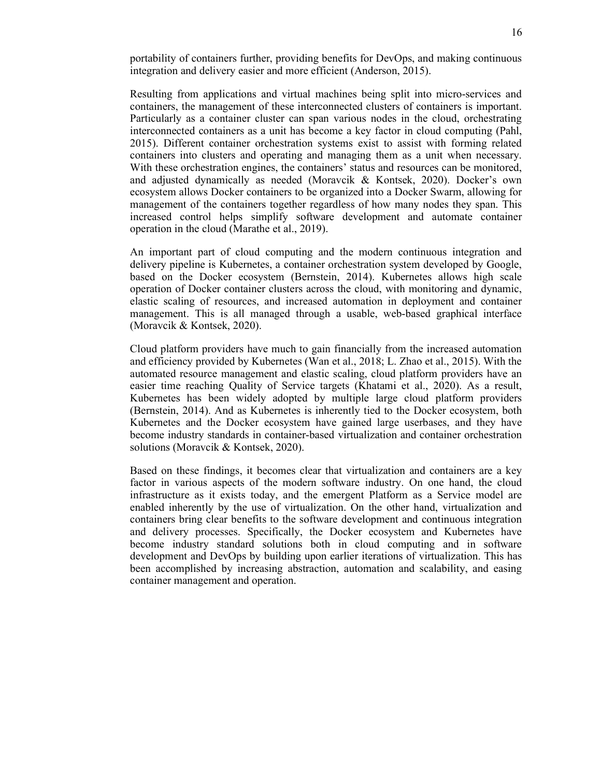portability of containers further, providing benefits for DevOps, and making continuous integration and delivery easier and more efficient (Anderson, 2015).

Resulting from applications and virtual machines being split into micro-services and containers, the management of these interconnected clusters of containers is important. Particularly as a container cluster can span various nodes in the cloud, orchestrating interconnected containers as a unit has become a key factor in cloud computing (Pahl, 2015). Different container orchestration systems exist to assist with forming related containers into clusters and operating and managing them as a unit when necessary. With these orchestration engines, the containers' status and resources can be monitored, and adjusted dynamically as needed (Moravcik & Kontsek, 2020). Docker's own ecosystem allows Docker containers to be organized into a Docker Swarm, allowing for management of the containers together regardless of how many nodes they span. This increased control helps simplify software development and automate container operation in the cloud (Marathe et al., 2019).

An important part of cloud computing and the modern continuous integration and delivery pipeline is Kubernetes, a container orchestration system developed by Google, based on the Docker ecosystem (Bernstein, 2014). Kubernetes allows high scale operation of Docker container clusters across the cloud, with monitoring and dynamic, elastic scaling of resources, and increased automation in deployment and container management. This is all managed through a usable, web-based graphical interface (Moravcik & Kontsek, 2020).

Cloud platform providers have much to gain financially from the increased automation and efficiency provided by Kubernetes (Wan et al., 2018; L. Zhao et al., 2015). With the automated resource management and elastic scaling, cloud platform providers have an easier time reaching Quality of Service targets (Khatami et al., 2020). As a result, Kubernetes has been widely adopted by multiple large cloud platform providers (Bernstein, 2014). And as Kubernetes is inherently tied to the Docker ecosystem, both Kubernetes and the Docker ecosystem have gained large userbases, and they have become industry standards in container-based virtualization and container orchestration solutions (Moravcik & Kontsek, 2020).

Based on these findings, it becomes clear that virtualization and containers are a key factor in various aspects of the modern software industry. On one hand, the cloud infrastructure as it exists today, and the emergent Platform as a Service model are enabled inherently by the use of virtualization. On the other hand, virtualization and containers bring clear benefits to the software development and continuous integration and delivery processes. Specifically, the Docker ecosystem and Kubernetes have become industry standard solutions both in cloud computing and in software development and DevOps by building upon earlier iterations of virtualization. This has been accomplished by increasing abstraction, automation and scalability, and easing container management and operation.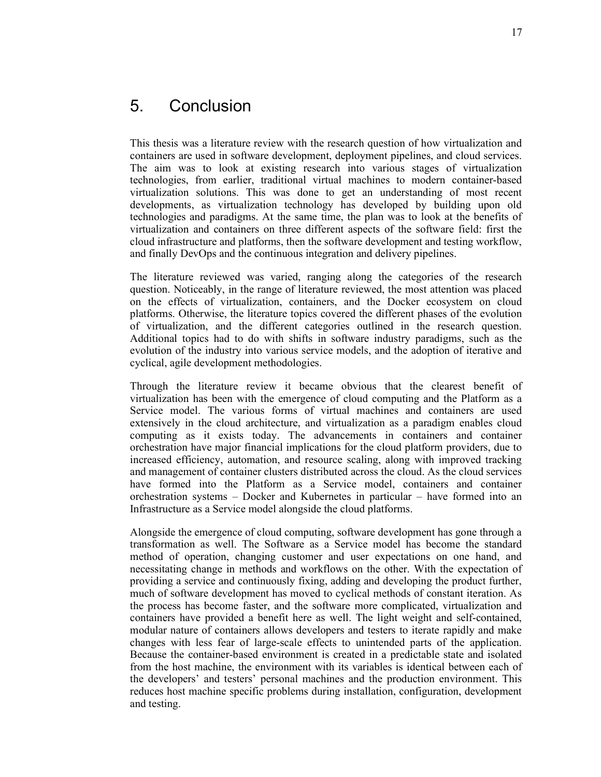## 5. Conclusion

This thesis was a literature review with the research question of how virtualization and containers are used in software development, deployment pipelines, and cloud services. The aim was to look at existing research into various stages of virtualization technologies, from earlier, traditional virtual machines to modern container-based virtualization solutions. This was done to get an understanding of most recent developments, as virtualization technology has developed by building upon old technologies and paradigms. At the same time, the plan was to look at the benefits of virtualization and containers on three different aspects of the software field: first the cloud infrastructure and platforms, then the software development and testing workflow, and finally DevOps and the continuous integration and delivery pipelines.

The literature reviewed was varied, ranging along the categories of the research question. Noticeably, in the range of literature reviewed, the most attention was placed on the effects of virtualization, containers, and the Docker ecosystem on cloud platforms. Otherwise, the literature topics covered the different phases of the evolution of virtualization, and the different categories outlined in the research question. Additional topics had to do with shifts in software industry paradigms, such as the evolution of the industry into various service models, and the adoption of iterative and cyclical, agile development methodologies.

Through the literature review it became obvious that the clearest benefit of virtualization has been with the emergence of cloud computing and the Platform as a Service model. The various forms of virtual machines and containers are used extensively in the cloud architecture, and virtualization as a paradigm enables cloud computing as it exists today. The advancements in containers and container orchestration have major financial implications for the cloud platform providers, due to increased efficiency, automation, and resource scaling, along with improved tracking and management of container clusters distributed across the cloud. As the cloud services have formed into the Platform as a Service model, containers and container orchestration systems – Docker and Kubernetes in particular – have formed into an Infrastructure as a Service model alongside the cloud platforms.

Alongside the emergence of cloud computing, software development has gone through a transformation as well. The Software as a Service model has become the standard method of operation, changing customer and user expectations on one hand, and necessitating change in methods and workflows on the other. With the expectation of providing a service and continuously fixing, adding and developing the product further, much of software development has moved to cyclical methods of constant iteration. As the process has become faster, and the software more complicated, virtualization and containers have provided a benefit here as well. The light weight and self-contained, modular nature of containers allows developers and testers to iterate rapidly and make changes with less fear of large-scale effects to unintended parts of the application. Because the container-based environment is created in a predictable state and isolated from the host machine, the environment with its variables is identical between each of the developers' and testers' personal machines and the production environment. This reduces host machine specific problems during installation, configuration, development and testing.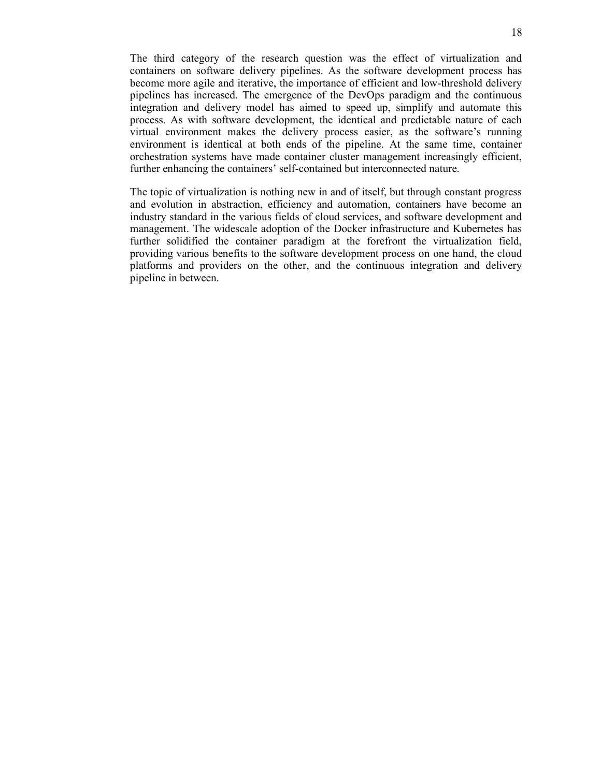The third category of the research question was the effect of virtualization and containers on software delivery pipelines. As the software development process has become more agile and iterative, the importance of efficient and low-threshold delivery pipelines has increased. The emergence of the DevOps paradigm and the continuous integration and delivery model has aimed to speed up, simplify and automate this process. As with software development, the identical and predictable nature of each virtual environment makes the delivery process easier, as the software's running environment is identical at both ends of the pipeline. At the same time, container orchestration systems have made container cluster management increasingly efficient, further enhancing the containers' self-contained but interconnected nature.

The topic of virtualization is nothing new in and of itself, but through constant progress and evolution in abstraction, efficiency and automation, containers have become an industry standard in the various fields of cloud services, and software development and management. The widescale adoption of the Docker infrastructure and Kubernetes has further solidified the container paradigm at the forefront the virtualization field, providing various benefits to the software development process on one hand, the cloud platforms and providers on the other, and the continuous integration and delivery pipeline in between.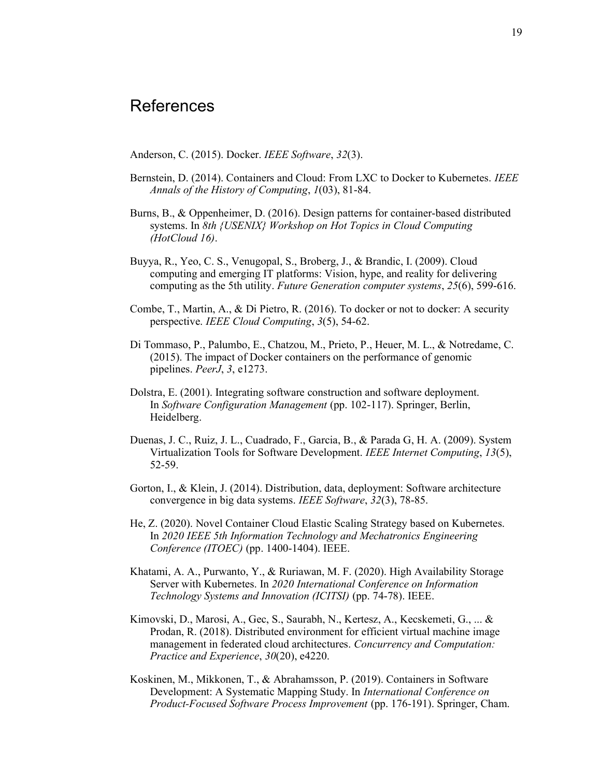## References

Anderson, C. (2015). Docker. *IEEE Software*, 32(3).

- Bernstein, D. (2014). Containers and Cloud: From LXC to Docker to Kubernetes. IEEE Annals of the History of Computing, 1(03), 81-84.
- Burns, B., & Oppenheimer, D. (2016). Design patterns for container-based distributed systems. In 8th {USENIX} Workshop on Hot Topics in Cloud Computing (HotCloud 16).
- Buyya, R., Yeo, C. S., Venugopal, S., Broberg, J., & Brandic, I. (2009). Cloud computing and emerging IT platforms: Vision, hype, and reality for delivering computing as the 5th utility. Future Generation computer systems, 25(6), 599-616.
- Combe, T., Martin, A., & Di Pietro, R. (2016). To docker or not to docker: A security perspective. IEEE Cloud Computing, 3(5), 54-62.
- Di Tommaso, P., Palumbo, E., Chatzou, M., Prieto, P., Heuer, M. L., & Notredame, C. (2015). The impact of Docker containers on the performance of genomic pipelines. PeerJ, 3, e1273.
- Dolstra, E. (2001). Integrating software construction and software deployment. In Software Configuration Management (pp. 102-117). Springer, Berlin, Heidelberg.
- Duenas, J. C., Ruiz, J. L., Cuadrado, F., Garcia, B., & Parada G, H. A. (2009). System Virtualization Tools for Software Development. IEEE Internet Computing, 13(5), 52-59.
- Gorton, I., & Klein, J. (2014). Distribution, data, deployment: Software architecture convergence in big data systems. IEEE Software, 32(3), 78-85.
- He, Z. (2020). Novel Container Cloud Elastic Scaling Strategy based on Kubernetes. In 2020 IEEE 5th Information Technology and Mechatronics Engineering Conference (ITOEC) (pp. 1400-1404). IEEE.
- Khatami, A. A., Purwanto, Y., & Ruriawan, M. F. (2020). High Availability Storage Server with Kubernetes. In 2020 International Conference on Information Technology Systems and Innovation (ICITSI) (pp. 74-78). IEEE.
- Kimovski, D., Marosi, A., Gec, S., Saurabh, N., Kertesz, A., Kecskemeti, G., ... & Prodan, R. (2018). Distributed environment for efficient virtual machine image management in federated cloud architectures. Concurrency and Computation: Practice and Experience, 30(20), e4220.
- Koskinen, M., Mikkonen, T., & Abrahamsson, P. (2019). Containers in Software Development: A Systematic Mapping Study. In International Conference on Product-Focused Software Process Improvement (pp. 176-191). Springer, Cham.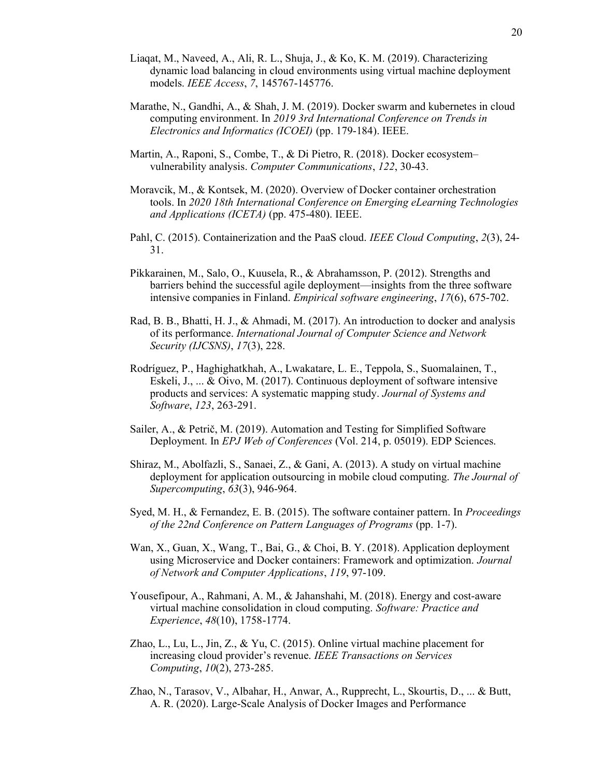- Liaqat, M., Naveed, A., Ali, R. L., Shuja, J., & Ko, K. M. (2019). Characterizing dynamic load balancing in cloud environments using virtual machine deployment models. IEEE Access, 7, 145767-145776.
- Marathe, N., Gandhi, A., & Shah, J. M. (2019). Docker swarm and kubernetes in cloud computing environment. In 2019 3rd International Conference on Trends in Electronics and Informatics (ICOEI) (pp. 179-184). IEEE.
- Martin, A., Raponi, S., Combe, T., & Di Pietro, R. (2018). Docker ecosystem– vulnerability analysis. Computer Communications, 122, 30-43.
- Moravcik, M., & Kontsek, M. (2020). Overview of Docker container orchestration tools. In 2020 18th International Conference on Emerging eLearning Technologies and Applications (ICETA) (pp. 475-480). IEEE.
- Pahl, C. (2015). Containerization and the PaaS cloud. IEEE Cloud Computing, 2(3), 24-31.
- Pikkarainen, M., Salo, O., Kuusela, R., & Abrahamsson, P. (2012). Strengths and barriers behind the successful agile deployment—insights from the three software intensive companies in Finland. Empirical software engineering, 17(6), 675-702.
- Rad, B. B., Bhatti, H. J., & Ahmadi, M. (2017). An introduction to docker and analysis of its performance. International Journal of Computer Science and Network Security (IJCSNS), 17(3), 228.
- Rodríguez, P., Haghighatkhah, A., Lwakatare, L. E., Teppola, S., Suomalainen, T., Eskeli, J., ... & Oivo, M. (2017). Continuous deployment of software intensive products and services: A systematic mapping study. Journal of Systems and Software, 123, 263-291.
- Sailer, A., & Petrič, M. (2019). Automation and Testing for Simplified Software Deployment. In EPJ Web of Conferences (Vol. 214, p. 05019). EDP Sciences.
- Shiraz, M., Abolfazli, S., Sanaei, Z., & Gani, A. (2013). A study on virtual machine deployment for application outsourcing in mobile cloud computing. The Journal of Supercomputing, 63(3), 946-964.
- Syed, M. H., & Fernandez, E. B. (2015). The software container pattern. In *Proceedings* of the 22nd Conference on Pattern Languages of Programs (pp. 1-7).
- Wan, X., Guan, X., Wang, T., Bai, G., & Choi, B. Y. (2018). Application deployment using Microservice and Docker containers: Framework and optimization. Journal of Network and Computer Applications, 119, 97-109.
- Yousefipour, A., Rahmani, A. M., & Jahanshahi, M. (2018). Energy and cost-aware virtual machine consolidation in cloud computing. Software: Practice and Experience, 48(10), 1758-1774.
- Zhao, L., Lu, L., Jin, Z., & Yu, C. (2015). Online virtual machine placement for increasing cloud provider's revenue. IEEE Transactions on Services Computing, 10(2), 273-285.
- Zhao, N., Tarasov, V., Albahar, H., Anwar, A., Rupprecht, L., Skourtis, D., ... & Butt, A. R. (2020). Large-Scale Analysis of Docker Images and Performance